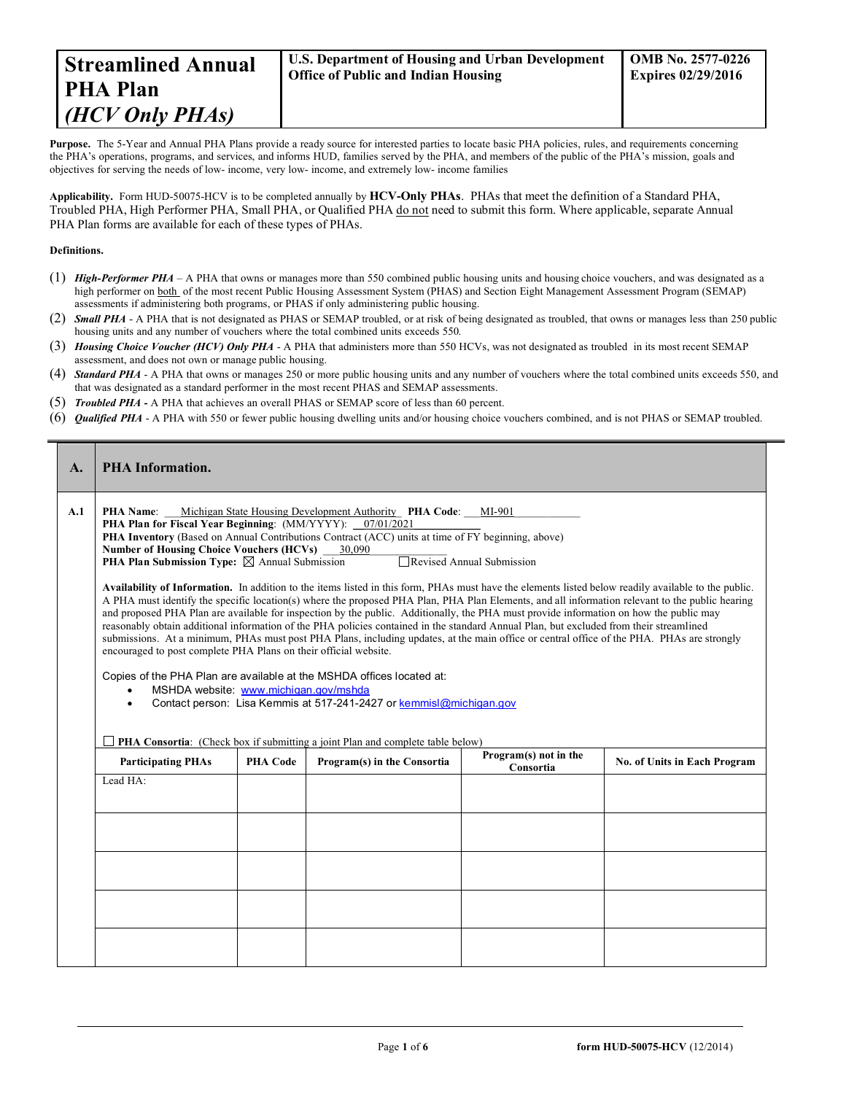**Purpose.** The 5-Year and Annual PHA Plans provide a ready source for interested parties to locate basic PHA policies, rules, and requirements concerning the PHA's operations, programs, and services, and informs HUD, families served by the PHA, and members of the public of the PHA's mission, goals and objectives for serving the needs of low- income, very low- income, and extremely low- income families

**Applicability.** Form HUD-50075-HCV is to be completed annually by **HCV-Only PHAs**. PHAs that meet the definition of a Standard PHA, Troubled PHA, High Performer PHA, Small PHA, or Qualified PHA do not need to submit this form. Where applicable, separate Annual PHA Plan forms are available for each of these types of PHAs.

## **Definitions.**

 $\overline{a}$ 

- (1) *High-Performer PHA* A PHA that owns or manages more than 550 combined public housing units and housing choice vouchers, and was designated as a high performer on both of the most recent Public Housing Assessment System (PHAS) and Section Eight Management Assessment Program (SEMAP) assessments if administering both programs, or PHAS if only administering public housing.
- (2) *Small PHA* A PHA that is not designated as PHAS or SEMAP troubled, or at risk of being designated as troubled, that owns or manages less than 250 public housing units and any number of vouchers where the total combined units exceeds 550.
- (3) *Housing Choice Voucher (HCV) Only PHA* A PHA that administers more than 550 HCVs, was not designated as troubled in its most recent SEMAP assessment, and does not own or manage public housing.
- (4) *Standard PHA* A PHA that owns or manages 250 or more public housing units and any number of vouchers where the total combined units exceeds 550, and that was designated as a standard performer in the most recent PHAS and SEMAP assessments.
- (5) *Troubled PHA* **-** A PHA that achieves an overall PHAS or SEMAP score of less than 60 percent.
- (6) *Qualified PHA* A PHA with 550 or fewer public housing dwelling units and/or housing choice vouchers combined, and is not PHAS or SEMAP troubled.

| A.  | <b>PHA Information.</b>                                                                                                                                                                                                                                                                                                                                                                                                                                                                                                                                                                                                                                                                                                                                                                                                                                                                                                                                                                                                                                                                                                                                                                                                                                                                                                                                                                                                 |                 |                             |                                    |                              |  |  |  |
|-----|-------------------------------------------------------------------------------------------------------------------------------------------------------------------------------------------------------------------------------------------------------------------------------------------------------------------------------------------------------------------------------------------------------------------------------------------------------------------------------------------------------------------------------------------------------------------------------------------------------------------------------------------------------------------------------------------------------------------------------------------------------------------------------------------------------------------------------------------------------------------------------------------------------------------------------------------------------------------------------------------------------------------------------------------------------------------------------------------------------------------------------------------------------------------------------------------------------------------------------------------------------------------------------------------------------------------------------------------------------------------------------------------------------------------------|-----------------|-----------------------------|------------------------------------|------------------------------|--|--|--|
| A.1 | Michigan State Housing Development Authority PHA Code: MI-901<br><b>PHA Name:</b><br>PHA Plan for Fiscal Year Beginning: (MM/YYYY): 07/01/2021<br><b>PHA Inventory</b> (Based on Annual Contributions Contract (ACC) units at time of FY beginning, above)<br>Number of Housing Choice Vouchers (HCVs) 30,090<br>Revised Annual Submission<br><b>PHA Plan Submission Type:</b> $\boxtimes$ Annual Submission<br>Availability of Information. In addition to the items listed in this form, PHAs must have the elements listed below readily available to the public.<br>A PHA must identify the specific location(s) where the proposed PHA Plan, PHA Plan Elements, and all information relevant to the public hearing<br>and proposed PHA Plan are available for inspection by the public. Additionally, the PHA must provide information on how the public may<br>reasonably obtain additional information of the PHA policies contained in the standard Annual Plan, but excluded from their streamlined<br>submissions. At a minimum, PHAs must post PHA Plans, including updates, at the main office or central office of the PHA. PHAs are strongly<br>encouraged to post complete PHA Plans on their official website.<br>Copies of the PHA Plan are available at the MSHDA offices located at:<br>MSHDA website: www.michigan.gov/mshda<br>Contact person: Lisa Kemmis at 517-241-2427 or kemmisl@michigan.gov |                 |                             |                                    |                              |  |  |  |
|     | PHA Consortia: (Check box if submitting a joint Plan and complete table below)                                                                                                                                                                                                                                                                                                                                                                                                                                                                                                                                                                                                                                                                                                                                                                                                                                                                                                                                                                                                                                                                                                                                                                                                                                                                                                                                          |                 |                             |                                    |                              |  |  |  |
|     | <b>Participating PHAs</b>                                                                                                                                                                                                                                                                                                                                                                                                                                                                                                                                                                                                                                                                                                                                                                                                                                                                                                                                                                                                                                                                                                                                                                                                                                                                                                                                                                                               | <b>PHA Code</b> | Program(s) in the Consortia | Program(s) not in the<br>Consortia | No. of Units in Each Program |  |  |  |
|     | Lead HA:                                                                                                                                                                                                                                                                                                                                                                                                                                                                                                                                                                                                                                                                                                                                                                                                                                                                                                                                                                                                                                                                                                                                                                                                                                                                                                                                                                                                                |                 |                             |                                    |                              |  |  |  |
|     |                                                                                                                                                                                                                                                                                                                                                                                                                                                                                                                                                                                                                                                                                                                                                                                                                                                                                                                                                                                                                                                                                                                                                                                                                                                                                                                                                                                                                         |                 |                             |                                    |                              |  |  |  |
|     |                                                                                                                                                                                                                                                                                                                                                                                                                                                                                                                                                                                                                                                                                                                                                                                                                                                                                                                                                                                                                                                                                                                                                                                                                                                                                                                                                                                                                         |                 |                             |                                    |                              |  |  |  |
|     |                                                                                                                                                                                                                                                                                                                                                                                                                                                                                                                                                                                                                                                                                                                                                                                                                                                                                                                                                                                                                                                                                                                                                                                                                                                                                                                                                                                                                         |                 |                             |                                    |                              |  |  |  |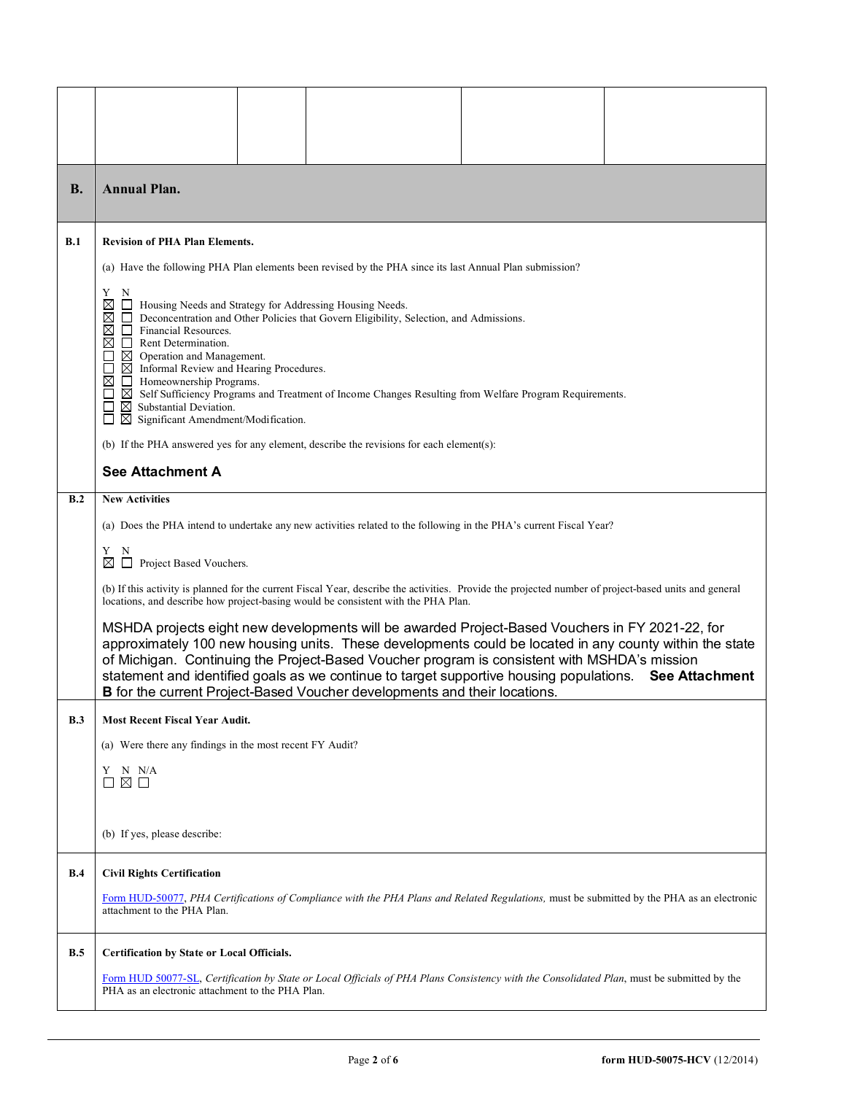| В.  | <b>Annual Plan.</b>                                                                                                                                                                                                                                                                                                                                                                                                                                                                                                                                                                                                                                                             |                                                                                                                                            |  |  |  |  |  |
|-----|---------------------------------------------------------------------------------------------------------------------------------------------------------------------------------------------------------------------------------------------------------------------------------------------------------------------------------------------------------------------------------------------------------------------------------------------------------------------------------------------------------------------------------------------------------------------------------------------------------------------------------------------------------------------------------|--------------------------------------------------------------------------------------------------------------------------------------------|--|--|--|--|--|
| B.1 | <b>Revision of PHA Plan Elements.</b>                                                                                                                                                                                                                                                                                                                                                                                                                                                                                                                                                                                                                                           |                                                                                                                                            |  |  |  |  |  |
|     | (a) Have the following PHA Plan elements been revised by the PHA since its last Annual Plan submission?                                                                                                                                                                                                                                                                                                                                                                                                                                                                                                                                                                         |                                                                                                                                            |  |  |  |  |  |
|     | Y<br>N<br>X<br>Housing Needs and Strategy for Addressing Housing Needs.<br>Deconcentration and Other Policies that Govern Eligibility, Selection, and Admissions.<br>⊠<br>Financial Resources.<br>⊠<br>Rent Determination.<br>ப<br>$\boxtimes$ Operation and Management.<br>$\boxtimes$ Informal Review and Hearing Procedures.<br>⊠<br>Homeownership Programs.<br>$\boxtimes$ Self Sufficiency Programs and Treatment of Income Changes Resulting from Welfare Program Requirements.<br>$\boxtimes$ Substantial Deviation.<br>$\boxtimes$ Significant Amendment/Modification.<br>ப<br>(b) If the PHA answered yes for any element, describe the revisions for each element(s): |                                                                                                                                            |  |  |  |  |  |
|     | <b>See Attachment A</b>                                                                                                                                                                                                                                                                                                                                                                                                                                                                                                                                                                                                                                                         |                                                                                                                                            |  |  |  |  |  |
| B.2 | <b>New Activities</b>                                                                                                                                                                                                                                                                                                                                                                                                                                                                                                                                                                                                                                                           |                                                                                                                                            |  |  |  |  |  |
|     |                                                                                                                                                                                                                                                                                                                                                                                                                                                                                                                                                                                                                                                                                 | (a) Does the PHA intend to undertake any new activities related to the following in the PHA's current Fiscal Year?                         |  |  |  |  |  |
|     | Y<br>N<br>$\Box$<br>Project Based Vouchers.<br>⊠                                                                                                                                                                                                                                                                                                                                                                                                                                                                                                                                                                                                                                |                                                                                                                                            |  |  |  |  |  |
|     | (b) If this activity is planned for the current Fiscal Year, describe the activities. Provide the projected number of project-based units and general<br>locations, and describe how project-basing would be consistent with the PHA Plan.                                                                                                                                                                                                                                                                                                                                                                                                                                      |                                                                                                                                            |  |  |  |  |  |
|     | MSHDA projects eight new developments will be awarded Project-Based Vouchers in FY 2021-22, for<br>approximately 100 new housing units. These developments could be located in any county within the state<br>of Michigan. Continuing the Project-Based Voucher program is consistent with MSHDA's mission<br>statement and identified goals as we continue to target supportive housing populations.<br><b>See Attachment</b><br>B for the current Project-Based Voucher developments and their locations.                                                                                                                                                                     |                                                                                                                                            |  |  |  |  |  |
| B.3 | <b>Most Recent Fiscal Year Audit.</b>                                                                                                                                                                                                                                                                                                                                                                                                                                                                                                                                                                                                                                           |                                                                                                                                            |  |  |  |  |  |
|     | (a) Were there any findings in the most recent FY Audit?                                                                                                                                                                                                                                                                                                                                                                                                                                                                                                                                                                                                                        |                                                                                                                                            |  |  |  |  |  |
|     | N N/A<br>Y<br>⊠ □                                                                                                                                                                                                                                                                                                                                                                                                                                                                                                                                                                                                                                                               |                                                                                                                                            |  |  |  |  |  |
|     |                                                                                                                                                                                                                                                                                                                                                                                                                                                                                                                                                                                                                                                                                 |                                                                                                                                            |  |  |  |  |  |
|     | (b) If yes, please describe:                                                                                                                                                                                                                                                                                                                                                                                                                                                                                                                                                                                                                                                    |                                                                                                                                            |  |  |  |  |  |
| B.4 | <b>Civil Rights Certification</b>                                                                                                                                                                                                                                                                                                                                                                                                                                                                                                                                                                                                                                               |                                                                                                                                            |  |  |  |  |  |
|     | attachment to the PHA Plan.                                                                                                                                                                                                                                                                                                                                                                                                                                                                                                                                                                                                                                                     | Form HUD-50077, PHA Certifications of Compliance with the PHA Plans and Related Regulations, must be submitted by the PHA as an electronic |  |  |  |  |  |
| B.5 | Certification by State or Local Officials.                                                                                                                                                                                                                                                                                                                                                                                                                                                                                                                                                                                                                                      |                                                                                                                                            |  |  |  |  |  |
|     | Form HUD 50077-SL, Certification by State or Local Officials of PHA Plans Consistency with the Consolidated Plan, must be submitted by the<br>PHA as an electronic attachment to the PHA Plan.                                                                                                                                                                                                                                                                                                                                                                                                                                                                                  |                                                                                                                                            |  |  |  |  |  |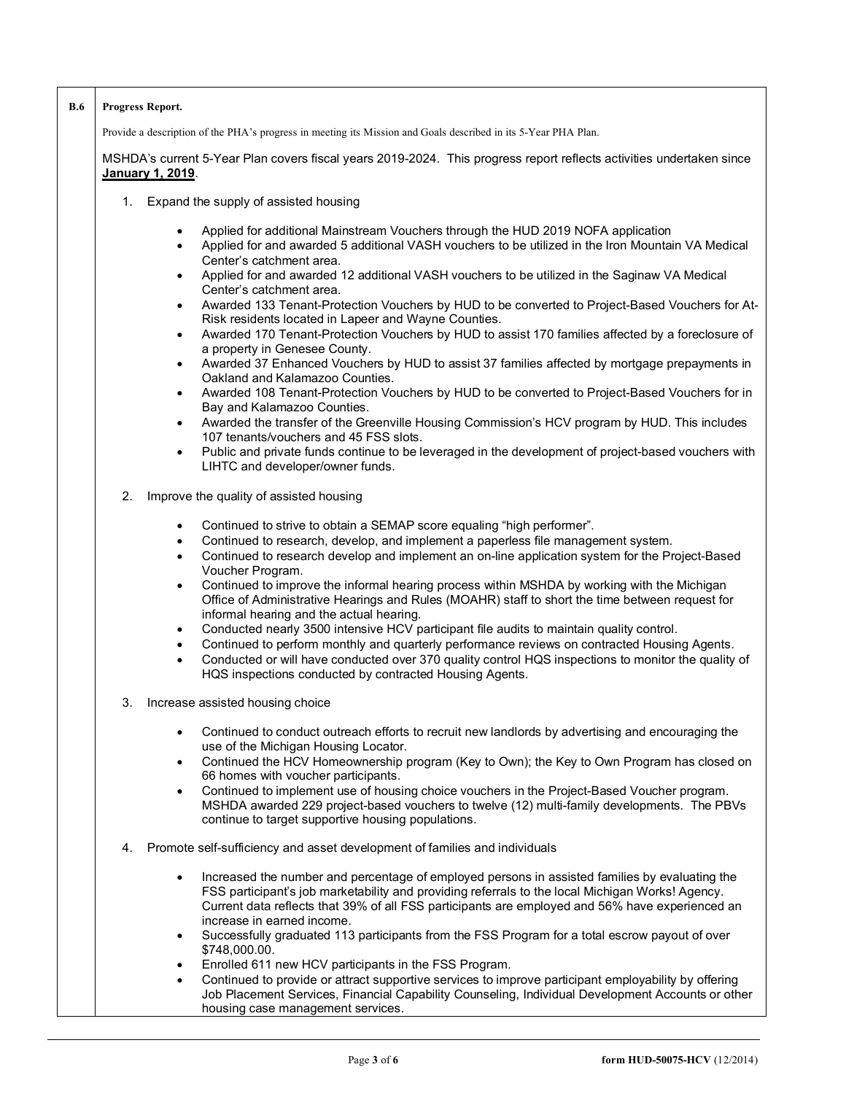| <b>B.6</b> | Progress Report.                                                                                                                                                                                                                                                                                                                                                                                                                                                                                                                                                                                                                                                                                                                                                                                                                                                                                                                                                                                               |
|------------|----------------------------------------------------------------------------------------------------------------------------------------------------------------------------------------------------------------------------------------------------------------------------------------------------------------------------------------------------------------------------------------------------------------------------------------------------------------------------------------------------------------------------------------------------------------------------------------------------------------------------------------------------------------------------------------------------------------------------------------------------------------------------------------------------------------------------------------------------------------------------------------------------------------------------------------------------------------------------------------------------------------|
|            | Provide a description of the PHA's progress in meeting its Mission and Goals described in its 5-Year PHA Plan.                                                                                                                                                                                                                                                                                                                                                                                                                                                                                                                                                                                                                                                                                                                                                                                                                                                                                                 |
|            | MSHDA's current 5-Year Plan covers fiscal years 2019-2024. This progress report reflects activities undertaken since<br>January 1, 2019.                                                                                                                                                                                                                                                                                                                                                                                                                                                                                                                                                                                                                                                                                                                                                                                                                                                                       |
|            | Expand the supply of assisted housing<br>1.                                                                                                                                                                                                                                                                                                                                                                                                                                                                                                                                                                                                                                                                                                                                                                                                                                                                                                                                                                    |
|            | Applied for additional Mainstream Vouchers through the HUD 2019 NOFA application<br>$\bullet$<br>Applied for and awarded 5 additional VASH vouchers to be utilized in the Iron Mountain VA Medical<br>$\bullet$<br>Center's catchment area.<br>Applied for and awarded 12 additional VASH vouchers to be utilized in the Saginaw VA Medical<br>$\bullet$<br>Center's catchment area.<br>Awarded 133 Tenant-Protection Vouchers by HUD to be converted to Project-Based Vouchers for At-<br>$\bullet$<br>Risk residents located in Lapeer and Wayne Counties.<br>Awarded 170 Tenant-Protection Vouchers by HUD to assist 170 families affected by a foreclosure of<br>$\bullet$<br>a property in Genesee County.<br>Awarded 37 Enhanced Vouchers by HUD to assist 37 families affected by mortgage prepayments in<br>$\bullet$<br>Oakland and Kalamazoo Counties.<br>Awarded 108 Tenant-Protection Vouchers by HUD to be converted to Project-Based Vouchers for in<br>$\bullet$<br>Bay and Kalamazoo Counties. |
|            | Awarded the transfer of the Greenville Housing Commission's HCV program by HUD. This includes<br>$\bullet$<br>107 tenants/vouchers and 45 FSS slots.                                                                                                                                                                                                                                                                                                                                                                                                                                                                                                                                                                                                                                                                                                                                                                                                                                                           |
|            | Public and private funds continue to be leveraged in the development of project-based vouchers with<br>$\bullet$<br>LIHTC and developer/owner funds.                                                                                                                                                                                                                                                                                                                                                                                                                                                                                                                                                                                                                                                                                                                                                                                                                                                           |
|            | 2.<br>Improve the quality of assisted housing                                                                                                                                                                                                                                                                                                                                                                                                                                                                                                                                                                                                                                                                                                                                                                                                                                                                                                                                                                  |
|            | Continued to strive to obtain a SEMAP score equaling "high performer".<br>٠<br>Continued to research, develop, and implement a paperless file management system.<br>$\bullet$<br>Continued to research develop and implement an on-line application system for the Project-Based<br>$\bullet$<br>Voucher Program.<br>Continued to improve the informal hearing process within MSHDA by working with the Michigan<br>$\bullet$<br>Office of Administrative Hearings and Rules (MOAHR) staff to short the time between request for<br>informal hearing and the actual hearing.<br>Conducted nearly 3500 intensive HCV participant file audits to maintain quality control.<br>$\bullet$<br>Continued to perform monthly and quarterly performance reviews on contracted Housing Agents.<br>$\bullet$<br>Conducted or will have conducted over 370 quality control HQS inspections to monitor the quality of<br>$\bullet$<br>HQS inspections conducted by contracted Housing Agents.                              |
|            | 3.<br>Increase assisted housing choice                                                                                                                                                                                                                                                                                                                                                                                                                                                                                                                                                                                                                                                                                                                                                                                                                                                                                                                                                                         |
|            | Continued to conduct outreach efforts to recruit new landlords by advertising and encouraging the<br>use of the Michigan Housing Locator.<br>Continued the HCV Homeownership program (Key to Own); the Key to Own Program has closed on<br>$\bullet$<br>66 homes with voucher participants.<br>Continued to implement use of housing choice vouchers in the Project-Based Voucher program.<br>٠<br>MSHDA awarded 229 project-based vouchers to twelve (12) multi-family developments. The PBVs<br>continue to target supportive housing populations.                                                                                                                                                                                                                                                                                                                                                                                                                                                           |
|            | Promote self-sufficiency and asset development of families and individuals<br>4.                                                                                                                                                                                                                                                                                                                                                                                                                                                                                                                                                                                                                                                                                                                                                                                                                                                                                                                               |
|            | Increased the number and percentage of employed persons in assisted families by evaluating the<br>$\bullet$<br>FSS participant's job marketability and providing referrals to the local Michigan Works! Agency.<br>Current data reflects that 39% of all FSS participants are employed and 56% have experienced an<br>increase in earned income.<br>Successfully graduated 113 participants from the FSS Program for a total escrow payout of over<br>$\bullet$                                                                                                                                                                                                                                                                                                                                                                                                                                                                                                                                                |
|            | \$748,000.00.<br>Enrolled 611 new HCV participants in the FSS Program.<br>٠<br>Continued to provide or attract supportive services to improve participant employability by offering<br>٠<br>Job Placement Services, Financial Capability Counseling, Individual Development Accounts or other<br>housing case management services.                                                                                                                                                                                                                                                                                                                                                                                                                                                                                                                                                                                                                                                                             |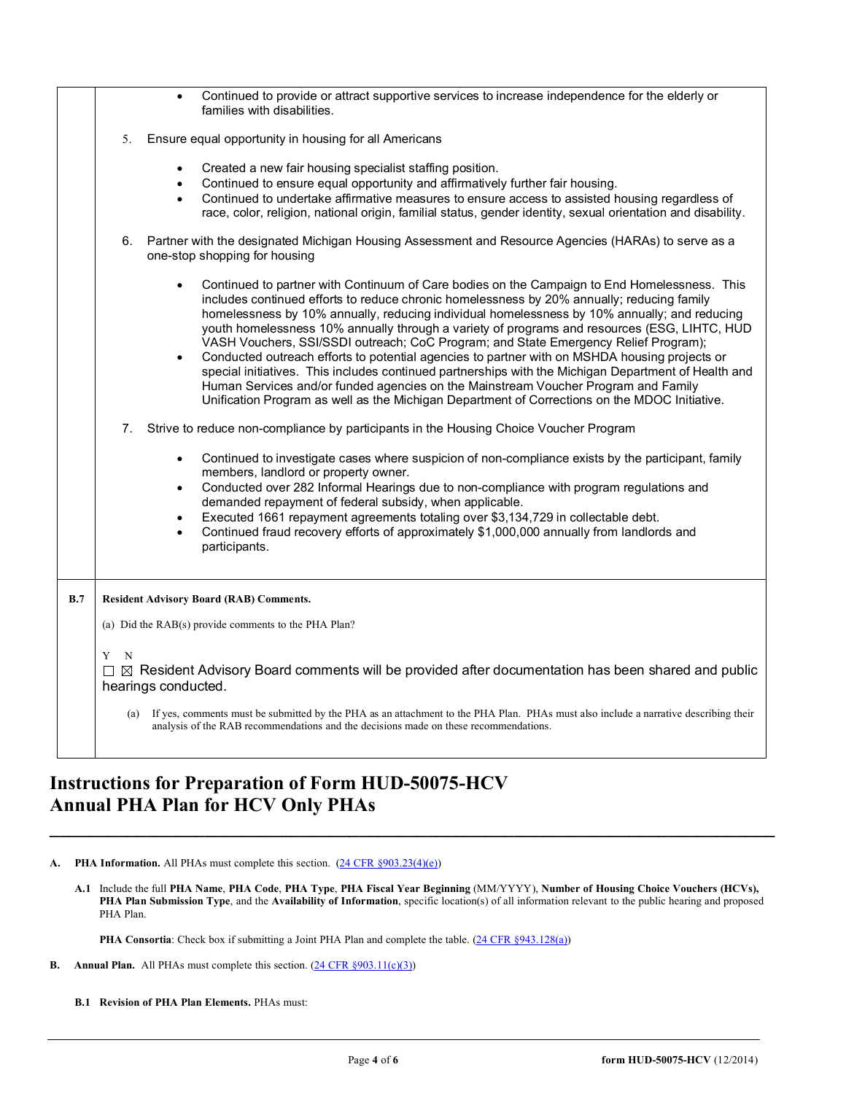|     | Continued to provide or attract supportive services to increase independence for the elderly or<br>families with disabilities.                                                                                                                                                                                                                                                                                                                                                                                                                                                                                                                                                                                                                                                                                                                                                                 |  |  |  |  |
|-----|------------------------------------------------------------------------------------------------------------------------------------------------------------------------------------------------------------------------------------------------------------------------------------------------------------------------------------------------------------------------------------------------------------------------------------------------------------------------------------------------------------------------------------------------------------------------------------------------------------------------------------------------------------------------------------------------------------------------------------------------------------------------------------------------------------------------------------------------------------------------------------------------|--|--|--|--|
|     | Ensure equal opportunity in housing for all Americans<br>5.                                                                                                                                                                                                                                                                                                                                                                                                                                                                                                                                                                                                                                                                                                                                                                                                                                    |  |  |  |  |
|     | Created a new fair housing specialist staffing position.<br>$\bullet$<br>Continued to ensure equal opportunity and affirmatively further fair housing.<br>$\bullet$<br>Continued to undertake affirmative measures to ensure access to assisted housing regardless of<br>$\bullet$<br>race, color, religion, national origin, familial status, gender identity, sexual orientation and disability.                                                                                                                                                                                                                                                                                                                                                                                                                                                                                             |  |  |  |  |
|     | Partner with the designated Michigan Housing Assessment and Resource Agencies (HARAs) to serve as a<br>6.<br>one-stop shopping for housing                                                                                                                                                                                                                                                                                                                                                                                                                                                                                                                                                                                                                                                                                                                                                     |  |  |  |  |
|     | Continued to partner with Continuum of Care bodies on the Campaign to End Homelessness. This<br>$\bullet$<br>includes continued efforts to reduce chronic homelessness by 20% annually; reducing family<br>homelessness by 10% annually, reducing individual homelessness by 10% annually; and reducing<br>youth homelessness 10% annually through a variety of programs and resources (ESG, LIHTC, HUD<br>VASH Vouchers, SSI/SSDI outreach; CoC Program; and State Emergency Relief Program);<br>Conducted outreach efforts to potential agencies to partner with on MSHDA housing projects or<br>special initiatives. This includes continued partnerships with the Michigan Department of Health and<br>Human Services and/or funded agencies on the Mainstream Voucher Program and Family<br>Unification Program as well as the Michigan Department of Corrections on the MDOC Initiative. |  |  |  |  |
|     | Strive to reduce non-compliance by participants in the Housing Choice Voucher Program<br>7.                                                                                                                                                                                                                                                                                                                                                                                                                                                                                                                                                                                                                                                                                                                                                                                                    |  |  |  |  |
|     | Continued to investigate cases where suspicion of non-compliance exists by the participant, family<br>$\bullet$<br>members, landlord or property owner.<br>Conducted over 282 Informal Hearings due to non-compliance with program regulations and<br>$\bullet$<br>demanded repayment of federal subsidy, when applicable.<br>Executed 1661 repayment agreements totaling over \$3,134,729 in collectable debt.<br>$\bullet$<br>Continued fraud recovery efforts of approximately \$1,000,000 annually from landlords and<br>participants.                                                                                                                                                                                                                                                                                                                                                     |  |  |  |  |
| B.7 | <b>Resident Advisory Board (RAB) Comments.</b>                                                                                                                                                                                                                                                                                                                                                                                                                                                                                                                                                                                                                                                                                                                                                                                                                                                 |  |  |  |  |
|     | (a) Did the RAB(s) provide comments to the PHA Plan?                                                                                                                                                                                                                                                                                                                                                                                                                                                                                                                                                                                                                                                                                                                                                                                                                                           |  |  |  |  |
|     | Y N<br>$\Box$ $\boxtimes$ Resident Advisory Board comments will be provided after documentation has been shared and public<br>hearings conducted.                                                                                                                                                                                                                                                                                                                                                                                                                                                                                                                                                                                                                                                                                                                                              |  |  |  |  |
|     | If yes, comments must be submitted by the PHA as an attachment to the PHA Plan. PHAs must also include a narrative describing their<br>(a)<br>analysis of the RAB recommendations and the decisions made on these recommendations.                                                                                                                                                                                                                                                                                                                                                                                                                                                                                                                                                                                                                                                             |  |  |  |  |
|     |                                                                                                                                                                                                                                                                                                                                                                                                                                                                                                                                                                                                                                                                                                                                                                                                                                                                                                |  |  |  |  |

## **Instructions for Preparation of Form HUD-50075-HCV Annual PHA Plan for HCV Only PHAs**

A. **PHA Information.** All PHAs must complete this section.  $(24 \text{ CFR } \S 903.23(4)(e))$ 

**A.1** Include the full **PHA Name**, **PHA Code**, **PHA Type**, **PHA Fiscal Year Beginning** (MM/YYYY), **Number of Housing Choice Vouchers (HCVs), PHA Plan Submission Type**, and the **Availability of Information**, specific location(s) of all information relevant to the public hearing and proposed PHA Plan.

**\_\_\_\_\_\_\_\_\_\_\_\_\_\_\_\_\_\_\_\_\_\_\_\_\_\_\_\_\_\_\_\_\_\_\_\_\_\_\_\_\_\_\_\_\_\_\_\_\_\_\_\_\_\_\_\_\_\_\_\_\_\_\_\_\_\_\_\_\_\_\_\_\_\_\_**

PHA Consortia: Check box if submitting a Joint PHA Plan and complete the table. [\(24 CFR §943.128\(a\)\)](http://ecfr.gpoaccess.gov/cgi/t/text/text-idx?c=ecfr&sid=cc31cf1c3a2b84ba4ead75d35d258f67&rgn=div5&view=text&node=24:4.0.3.1.10&idno=24#24:4.0.3.1.10.2.5.7)

- **B.** Annual Plan. All PHAs must complete this section. [\(24 CFR §903.11\(c\)\(3\)\)](http://ecfr.gpoaccess.gov/cgi/t/text/text-idx?c=ecfr&sid=c84b8750d7c9fcd46c0c7546aeb860cf&rgn=div5&view=text&node=24:4.0.3.1.3&idno=24#24:4.0.3.1.3.2.5.8)
	- **B.1 Revision of PHA Plan Elements.** PHAs must: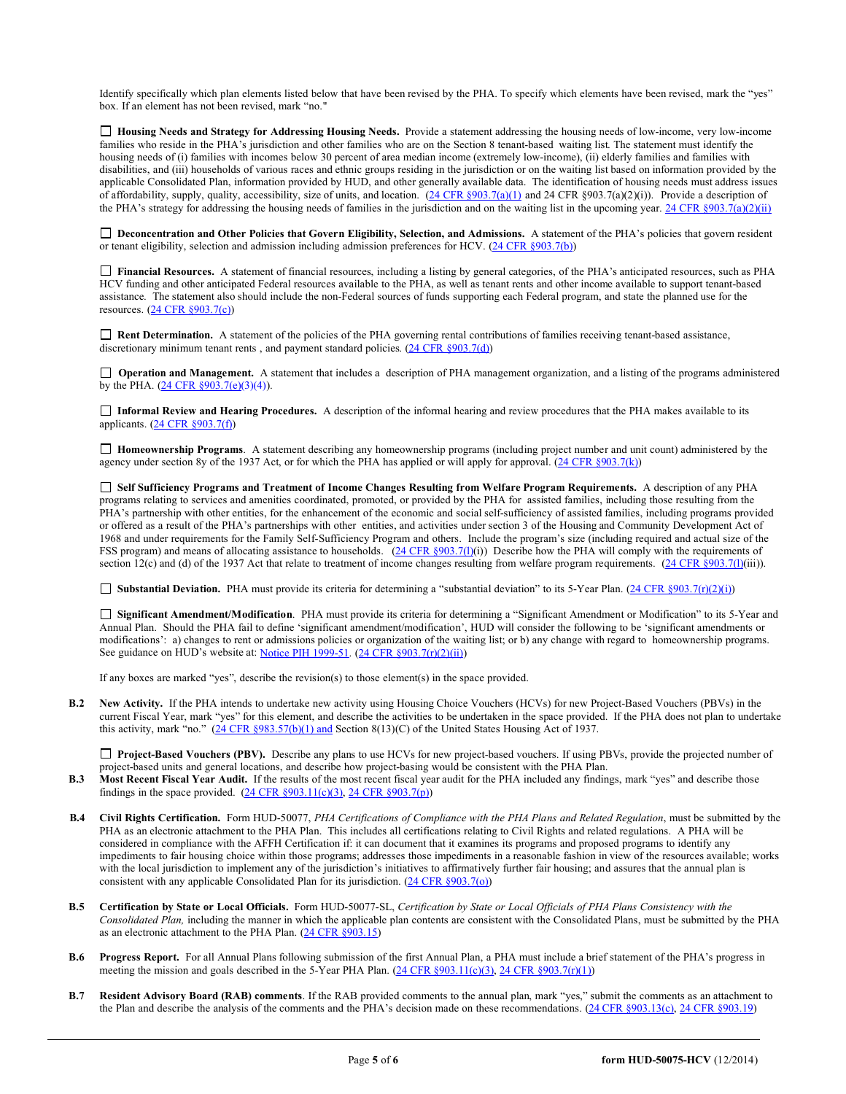Identify specifically which plan elements listed below that have been revised by the PHA. To specify which elements have been revised, mark the "yes" box. If an element has not been revised, mark "no."

 **Housing Needs and Strategy for Addressing Housing Needs.** Provide a statement addressing the housing needs of low-income, very low-income families who reside in the PHA's jurisdiction and other families who are on the Section 8 tenant-based waiting list. The statement must identify the housing needs of (i) families with incomes below 30 percent of area median income (extremely low-income), (ii) elderly families and families with disabilities, and (iii) households of various races and ethnic groups residing in the jurisdiction or on the waiting list based on information provided by the applicable Consolidated Plan, information provided by HUD, and other generally available data. The identification of housing needs must address issues of affordability, supply, quality, accessibility, size of units, and location.  $(24 \text{ CFR } \text{$903.7(a)(1)}$  and 24 CFR  $\text{$903.7(a)(2)(i))}$ . Provide a description of the PHA's strategy for addressing the housing needs of families in the jurisdiction and on the waiting list in the upcoming year[. 24 CFR §903.7\(a\)\(2\)\(ii\)](http://ecfr.gpoaccess.gov/cgi/t/text/text-idx?c=ecfr&sid=13734845220744370804c20da2294a03&rgn=div5&view=text&node=24:4.0.3.1.3&idno=24#24:4.0.3.1.3.2.5.5)

□ Deconcentration and Other Policies that Govern Eligibility, Selection, and Admissions. A statement of the PHA's policies that govern resident or tenant eligibility, selection and admission including admission preferences for HCV. [\(24 CFR §903.7\(b\)\)](http://ecfr.gpoaccess.gov/cgi/t/text/text-idx?c=ecfr&sid=b44bf19bef93dd31287608d2c687e271&rgn=div5&view=text&node=24:4.0.3.1.3&idno=24#24:4.0.3.1.3.2.5.5)

 **Financial Resources.** A statement of financial resources, including a listing by general categories, of the PHA's anticipated resources, such as PHA HCV funding and other anticipated Federal resources available to the PHA, as well as tenant rents and other income available to support tenant-based assistance. The statement also should include the non-Federal sources of funds supporting each Federal program, and state the planned use for the resources. [\(24 CFR §903.7\(c\)\)](http://ecfr.gpoaccess.gov/cgi/t/text/text-idx?c=ecfr&sid=b44bf19bef93dd31287608d2c687e271&rgn=div5&view=text&node=24:4.0.3.1.3&idno=24)

■ **Rent Determination.** A statement of the policies of the PHA governing rental contributions of families receiving tenant-based assistance, discretionary minimum tenant rents, and payment standard policies. [\(24 CFR §903.7\(d\)\)](http://ecfr.gpoaccess.gov/cgi/t/text/text-idx?c=ecfr&sid=b44bf19bef93dd31287608d2c687e271&rgn=div5&view=text&node=24:4.0.3.1.3&idno=24#24:4.0.3.1.3.2.5.5)

□ **Operation and Management.** A statement that includes a description of PHA management organization, and a listing of the programs administered by the PHA.  $(24 \text{ CFR } \frac{6903.7(e)}{(3)(4)})$ .

 **Informal Review and Hearing Procedures.** A description of the informal hearing and review procedures that the PHA makes available to its applicants.  $(24 \text{ CFR } $903.7(f))$ 

 **Homeownership Programs**. A statement describing any homeownership programs (including project number and unit count) administered by the agency under section 8y of the 1937 Act, or for which the PHA has applied or will apply for approval. (24 CFR §903.7(k))

 **Self Sufficiency Programs and Treatment of Income Changes Resulting from Welfare Program Requirements.** A description of any PHA programs relating to services and amenities coordinated, promoted, or provided by the PHA for assisted families, including those resulting from the PHA's partnership with other entities, for the enhancement of the economic and social self-sufficiency of assisted families, including programs provided or offered as a result of the PHA's partnerships with other entities, and activities under section 3 of the Housing and Community Development Act of 1968 and under requirements for the Family Self-Sufficiency Program and others. Include the program's size (including required and actual size of the FSS program) and means of allocating assistance to households. [\(24 CFR §903.7\(l\)\(](http://ecfr.gpoaccess.gov/cgi/t/text/text-idx?c=ecfr&sid=b44bf19bef93dd31287608d2c687e271&rgn=div5&view=text&node=24:4.0.3.1.3&idno=24#24:4.0.3.1.3.2.5.5)i)) Describe how the PHA will comply with the requirements of section 12(c) and (d) of the 1937 Act that relate to treatment of income changes resulting from welfare program requirements.  $(24 \text{ CFR } \text{S}903.7(\text{I})(\text{iii}))$ .

■ **Substantial Deviation.** PHA must provide its criteria for determining a "substantial deviation" to its 5-Year Plan. [\(24 CFR §903.7\(r\)\(2\)\(i\)\)](http://ecfr.gpoaccess.gov/cgi/t/text/text-idx?c=ecfr&sid=13734845220744370804c20da2294a03&rgn=div5&view=text&node=24:4.0.3.1.3&idno=24#24:4.0.3.1.3.2.5.5)

 **Significant Amendment/Modification**. PHA must provide its criteria for determining a "Significant Amendment or Modification" to its 5-Year and Annual Plan. Should the PHA fail to define 'significant amendment/modification', HUD will consider the following to be 'significant amendments or modifications': a) changes to rent or admissions policies or organization of the waiting list; or b) any change with regard to homeownership programs. See guidance on HUD's website at: [Notice PIH 1999-51.](http://portal.hud.gov/hudportal/HUD?src=/program_offices/administration/hudclips/notices/pih) [\(24 CFR §903.7\(r\)\(2\)\(ii\)\)](http://ecfr.gpoaccess.gov/cgi/t/text/text-idx?c=ecfr&sid=13734845220744370804c20da2294a03&rgn=div5&view=text&node=24:4.0.3.1.3&idno=24#24:4.0.3.1.3.2.5.5)

If any boxes are marked "yes", describe the revision(s) to those element(s) in the space provided.

**B.2 New Activity.** If the PHA intends to undertake new activity using Housing Choice Vouchers (HCVs) for new Project-Based Vouchers (PBVs) in the current Fiscal Year, mark "yes" for this element, and describe the activities to be undertaken in the space provided. If the PHA does not plan to undertake this activity, mark "no."  $(24 \text{ CFR } \text{\textless} 983.57(b)(1) \text{ and Section } 8(13)(C)$  of the United States Housing Act of 1937.

**Project-Based Vouchers (PBV).** Describe any plans to use HCVs for new project-based vouchers. If using PBVs, provide the projected number of project-based units and general locations, and describe how project-basing would be consistent with the PHA Plan.

- **B.3 Most Recent Fiscal Year Audit.** If the results of the most recent fiscal year audit for the PHA included any findings, mark "yes" and describe those findings in the space provided.  $(24 \text{ CFR } \S 903.11(c)(3), 24 \text{ CFR } \S 903.7(p))$
- **B.4 Civil Rights Certification.** Form HUD-50077, *PHA Certifications of Compliance with the PHA Plans and Related Regulation*, must be submitted by the PHA as an electronic attachment to the PHA Plan. This includes all certifications relating to Civil Rights and related regulations. A PHA will be considered in compliance with the AFFH Certification if: it can document that it examines its programs and proposed programs to identify any impediments to fair housing choice within those programs; addresses those impediments in a reasonable fashion in view of the resources available; works with the local jurisdiction to implement any of the jurisdiction's initiatives to affirmatively further fair housing; and assures that the annual plan is consistent with any applicable Consolidated Plan for its jurisdiction.  $(24 \text{ CFR } \S 903.7(\text{o}))$
- **B.5 Certification by State or Local Officials.** Form HUD-50077-SL, *Certification by State or Local Officials of PHA Plans Consistency with the Consolidated Plan,* including the manner in which the applicable plan contents are consistent with the Consolidated Plans, must be submitted by the PHA as an electronic attachment to the PHA Plan. [\(24 CFR §903.15\)](http://ecfr.gpoaccess.gov/cgi/t/text/text-idx?c=ecfr&sid=929855241bbc0873ac4be47579a4d2bf&rgn=div5&view=text&node=24:4.0.3.1.3&idno=24#24:4.0.3.1.3.2.5.10)
- **B.6 Progress Report.** For all Annual Plans following submission of the first Annual Plan, a PHA must include a brief statement of the PHA's progress in meeting the mission and goals described in the 5-Year PHA Plan. [\(24 CFR §903.11\(c\)\(3\),](http://ecfr.gpoaccess.gov/cgi/t/text/text-idx?c=ecfr&sid=c84b8750d7c9fcd46c0c7546aeb860cf&rgn=div5&view=text&node=24:4.0.3.1.3&idno=24#24:4.0.3.1.3.2.5.7) [24 CFR §903.7\(r\)\(1\)\)](http://ecfr.gpoaccess.gov/cgi/t/text/text-idx?c=ecfr&sid=663ef5e048922c731853f513acbdfa81&rgn=div5&view=text&node=24:4.0.3.1.3&idno=24#24:4.0.3.1.3.2.5.5)
- **B.7 Resident Advisory Board (RAB) comments**. If the RAB provided comments to the annual plan, mark "yes," submit the comments as an attachment to the Plan and describe the analysis of the comments and the PHA's decision made on these recommendations. [\(24 CFR §903.13\(c\),](http://ecfr.gpoaccess.gov/cgi/t/text/text-idx?c=ecfr&sid=13734845220744370804c20da2294a03&rgn=div5&view=text&node=24:4.0.3.1.3&idno=24#24:4.0.3.1.3.2.5.9) 24 CFR §903.19)